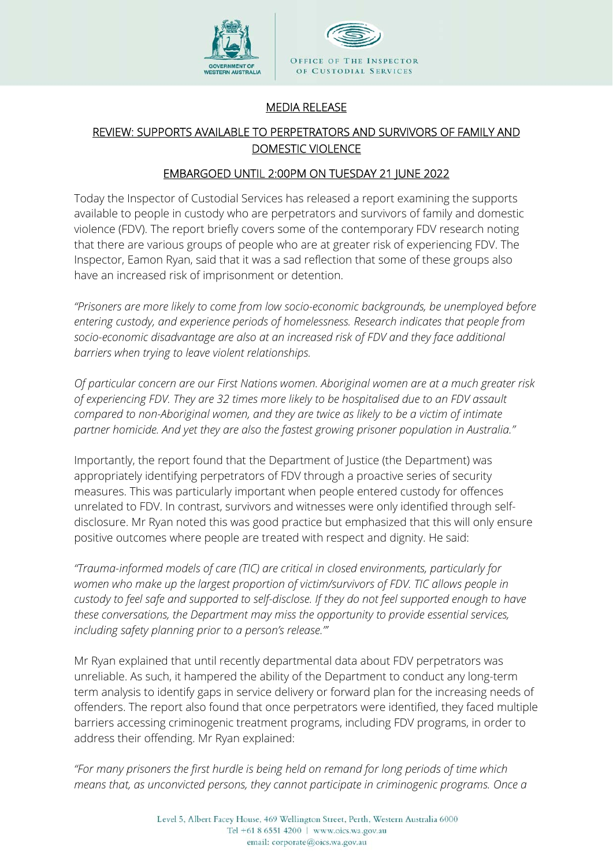

## MEDIA RELEASE

## REVIEW: SUPPORTS AVAILABLE TO PERPETRATORS AND SURVIVORS OF FAMILY AND DOMESTIC VIOLENCE

## EMBARGOED UNTIL 2:00PM ON TUESDAY 21 JUNE 2022

Today the Inspector of Custodial Services has released a report examining the supports available to people in custody who are perpetrators and survivors of family and domestic violence (FDV). The report briefly covers some of the contemporary FDV research noting that there are various groups of people who are at greater risk of experiencing FDV. The Inspector, Eamon Ryan, said that it was a sad reflection that some of these groups also have an increased risk of imprisonment or detention.

*"Prisoners are more likely to come from low socio-economic backgrounds, be unemployed before entering custody, and experience periods of homelessness. Research indicates that people from socio-economic disadvantage are also at an increased risk of FDV and they face additional barriers when trying to leave violent relationships.* 

*Of particular concern are our First Nations women. Aboriginal women are at a much greater risk of experiencing FDV. They are 32 times more likely to be hospitalised due to an FDV assault compared to non-Aboriginal women, and they are twice as likely to be a victim of intimate partner homicide. And yet they are also the fastest growing prisoner population in Australia."* 

Importantly, the report found that the Department of Justice (the Department) was appropriately identifying perpetrators of FDV through a proactive series of security measures. This was particularly important when people entered custody for offences unrelated to FDV. In contrast, survivors and witnesses were only identified through selfdisclosure. Mr Ryan noted this was good practice but emphasized that this will only ensure positive outcomes where people are treated with respect and dignity. He said:

*"Trauma-informed models of care (TIC) are critical in closed environments, particularly for women who make up the largest proportion of victim/survivors of FDV. TIC allows people in custody to feel safe and supported to self-disclose. If they do not feel supported enough to have these conversations, the Department may miss the opportunity to provide essential services, including safety planning prior to a person's release."'* 

Mr Ryan explained that until recently departmental data about FDV perpetrators was unreliable. As such, it hampered the ability of the Department to conduct any long-term term analysis to identify gaps in service delivery or forward plan for the increasing needs of offenders. The report also found that once perpetrators were identified, they faced multiple barriers accessing criminogenic treatment programs, including FDV programs, in order to address their offending. Mr Ryan explained:

*"For many prisoners the first hurdle is being held on remand for long periods of time which means that, as unconvicted persons, they cannot participate in criminogenic programs. Once a*